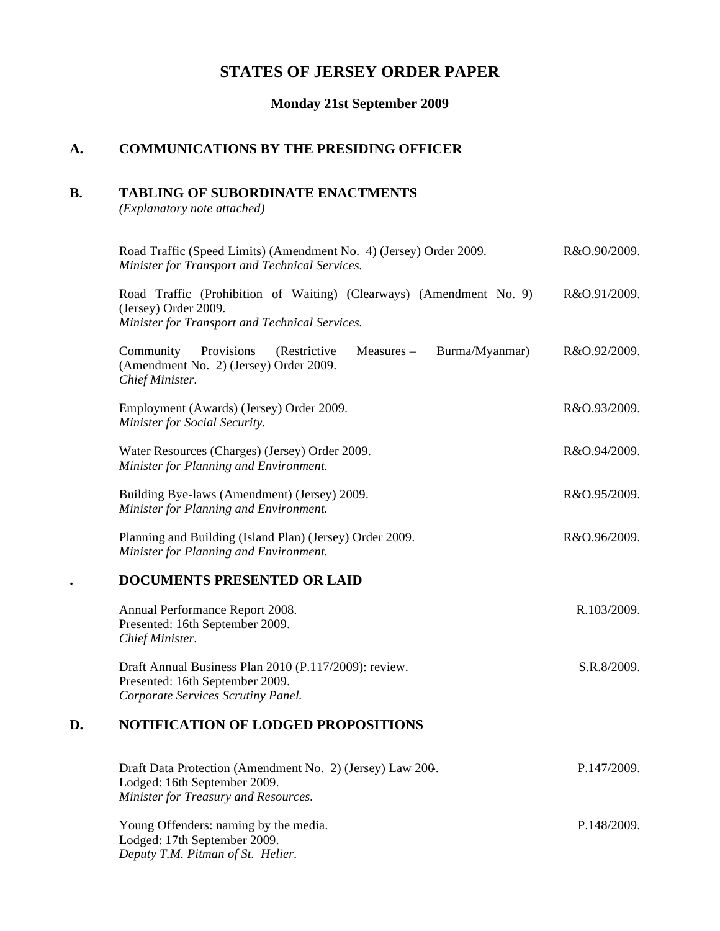# **STATES OF JERSEY ORDER PAPER**

## **Monday 21st September 2009**

# **A. COMMUNICATIONS BY THE PRESIDING OFFICER**

### **B. TABLING OF SUBORDINATE ENACTMENTS**

*(Explanatory note attached)*

|    | Road Traffic (Speed Limits) (Amendment No. 4) (Jersey) Order 2009.<br>Minister for Transport and Technical Services.                          | R&O.90/2009. |
|----|-----------------------------------------------------------------------------------------------------------------------------------------------|--------------|
|    | Road Traffic (Prohibition of Waiting) (Clearways) (Amendment No. 9)<br>(Jersey) Order 2009.<br>Minister for Transport and Technical Services. | R&O.91/2009. |
|    | Provisions<br>Community<br>(Restrictive<br>Measures -<br>Burma/Myanmar)<br>(Amendment No. 2) (Jersey) Order 2009.<br>Chief Minister.          | R&O.92/2009. |
|    | Employment (Awards) (Jersey) Order 2009.<br>Minister for Social Security.                                                                     | R&O.93/2009. |
|    | Water Resources (Charges) (Jersey) Order 2009.<br>Minister for Planning and Environment.                                                      | R&O.94/2009. |
|    | Building Bye-laws (Amendment) (Jersey) 2009.<br>Minister for Planning and Environment.                                                        | R&O.95/2009. |
|    | Planning and Building (Island Plan) (Jersey) Order 2009.<br>Minister for Planning and Environment.                                            | R&O.96/2009. |
|    | DOCUMENTS PRESENTED OR LAID                                                                                                                   |              |
|    | Annual Performance Report 2008.<br>Presented: 16th September 2009.<br>Chief Minister.                                                         | R.103/2009.  |
|    | Draft Annual Business Plan 2010 (P.117/2009): review.<br>Presented: 16th September 2009.<br>Corporate Services Scrutiny Panel.                | S.R.8/2009.  |
| D. | <b>NOTIFICATION OF LODGED PROPOSITIONS</b>                                                                                                    |              |
|    | Draft Data Protection (Amendment No. 2) (Jersey) Law 200.<br>Lodged: 16th September 2009.<br>Minister for Treasury and Resources.             | P.147/2009.  |

Young Offenders: naming by the media. Lodged: 17th September 2009. *Deputy T.M. Pitman of St. Helier.* P.148/2009.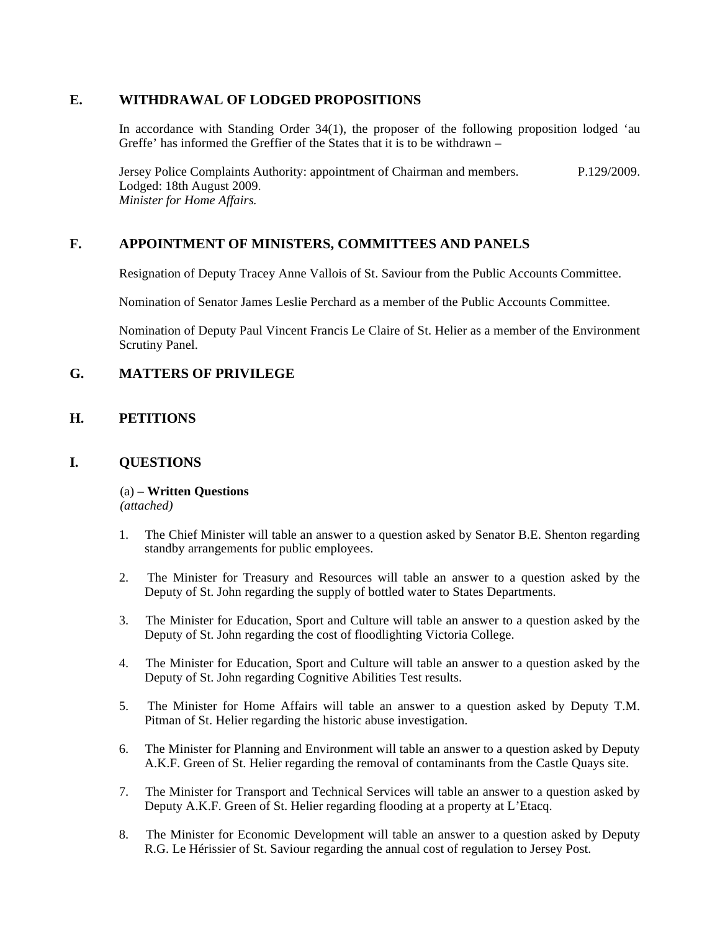### **E. WITHDRAWAL OF LODGED PROPOSITIONS**

In accordance with Standing Order 34(1), the proposer of the following proposition lodged 'au Greffe' has informed the Greffier of the States that it is to be withdrawn –

Jersey Police Complaints Authority: appointment of Chairman and members. Lodged: 18th August 2009. *Minister for Home Affairs.* P.129/2009.

## **F. APPOINTMENT OF MINISTERS, COMMITTEES AND PANELS**

Resignation of Deputy Tracey Anne Vallois of St. Saviour from the Public Accounts Committee.

Nomination of Senator James Leslie Perchard as a member of the Public Accounts Committee.

Nomination of Deputy Paul Vincent Francis Le Claire of St. Helier as a member of the Environment Scrutiny Panel.

## **G. MATTERS OF PRIVILEGE**

## **H. PETITIONS**

## **I. QUESTIONS**

(a) – **Written Questions** *(attached)*

- 1. The Chief Minister will table an answer to a question asked by Senator B.E. Shenton regarding standby arrangements for public employees.
- 2. The Minister for Treasury and Resources will table an answer to a question asked by the Deputy of St. John regarding the supply of bottled water to States Departments.
- 3. The Minister for Education, Sport and Culture will table an answer to a question asked by the Deputy of St. John regarding the cost of floodlighting Victoria College.
- 4. The Minister for Education, Sport and Culture will table an answer to a question asked by the Deputy of St. John regarding Cognitive Abilities Test results.
- 5. The Minister for Home Affairs will table an answer to a question asked by Deputy T.M. Pitman of St. Helier regarding the historic abuse investigation.
- 6. The Minister for Planning and Environment will table an answer to a question asked by Deputy A.K.F. Green of St. Helier regarding the removal of contaminants from the Castle Quays site.
- 7. The Minister for Transport and Technical Services will table an answer to a question asked by Deputy A.K.F. Green of St. Helier regarding flooding at a property at L'Etacq.
- 8. The Minister for Economic Development will table an answer to a question asked by Deputy R.G. Le Hérissier of St. Saviour regarding the annual cost of regulation to Jersey Post.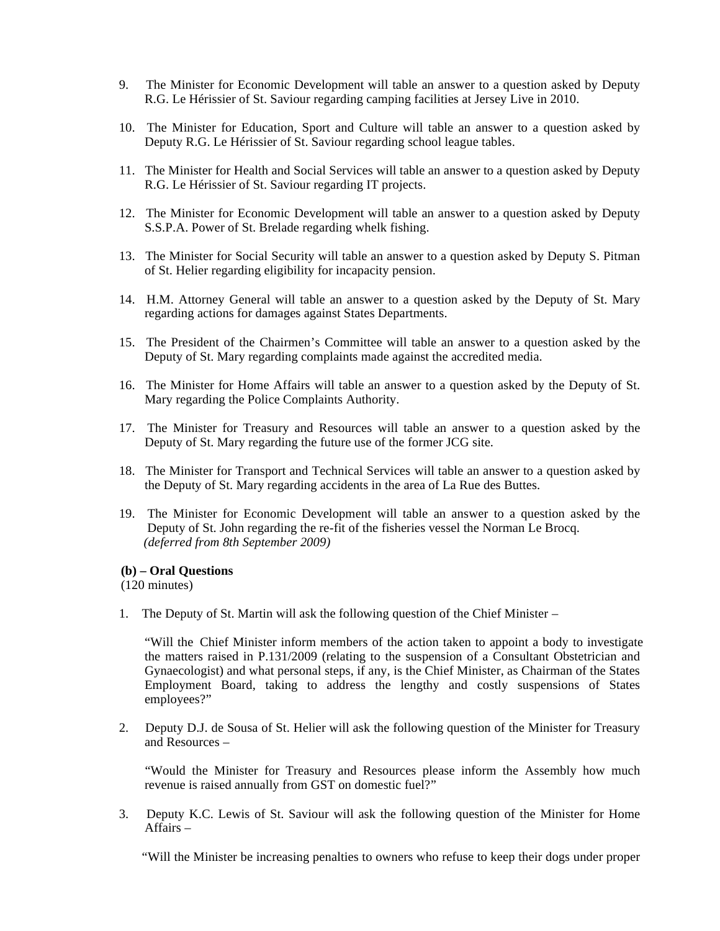- 9. The Minister for Economic Development will table an answer to a question asked by Deputy R.G. Le Hérissier of St. Saviour regarding camping facilities at Jersey Live in 2010.
- 10. The Minister for Education, Sport and Culture will table an answer to a question asked by Deputy R.G. Le Hérissier of St. Saviour regarding school league tables.
- 11. The Minister for Health and Social Services will table an answer to a question asked by Deputy R.G. Le Hérissier of St. Saviour regarding IT projects.
- 12. The Minister for Economic Development will table an answer to a question asked by Deputy S.S.P.A. Power of St. Brelade regarding whelk fishing.
- 13. The Minister for Social Security will table an answer to a question asked by Deputy S. Pitman of St. Helier regarding eligibility for incapacity pension.
- 14. H.M. Attorney General will table an answer to a question asked by the Deputy of St. Mary regarding actions for damages against States Departments.
- 15. The President of the Chairmen's Committee will table an answer to a question asked by the Deputy of St. Mary regarding complaints made against the accredited media.
- 16. The Minister for Home Affairs will table an answer to a question asked by the Deputy of St. Mary regarding the Police Complaints Authority.
- 17. The Minister for Treasury and Resources will table an answer to a question asked by the Deputy of St. Mary regarding the future use of the former JCG site.
- 18. The Minister for Transport and Technical Services will table an answer to a question asked by the Deputy of St. Mary regarding accidents in the area of La Rue des Buttes.
- 19. The Minister for Economic Development will table an answer to a question asked by the Deputy of St. John regarding the re-fit of the fisheries vessel the Norman Le Brocq. *(deferred from 8th September 2009)*

#### **(b) – Oral Questions**

(120 minutes)

1. The Deputy of St. Martin will ask the following question of the Chief Minister –

"Will the Chief Minister inform members of the action taken to appoint a body to investigate the matters raised in P.131/2009 (relating to the suspension of a Consultant Obstetrician and Gynaecologist) and what personal steps, if any, is the Chief Minister, as Chairman of the States Employment Board, taking to address the lengthy and costly suspensions of States employees?"

2. Deputy D.J. de Sousa of St. Helier will ask the following question of the Minister for Treasury and Resources –

 "Would the Minister for Treasury and Resources please inform the Assembly how much revenue is raised annually from GST on domestic fuel?"

3. Deputy K.C. Lewis of St. Saviour will ask the following question of the Minister for Home Affairs –

"Will the Minister be increasing penalties to owners who refuse to keep their dogs under proper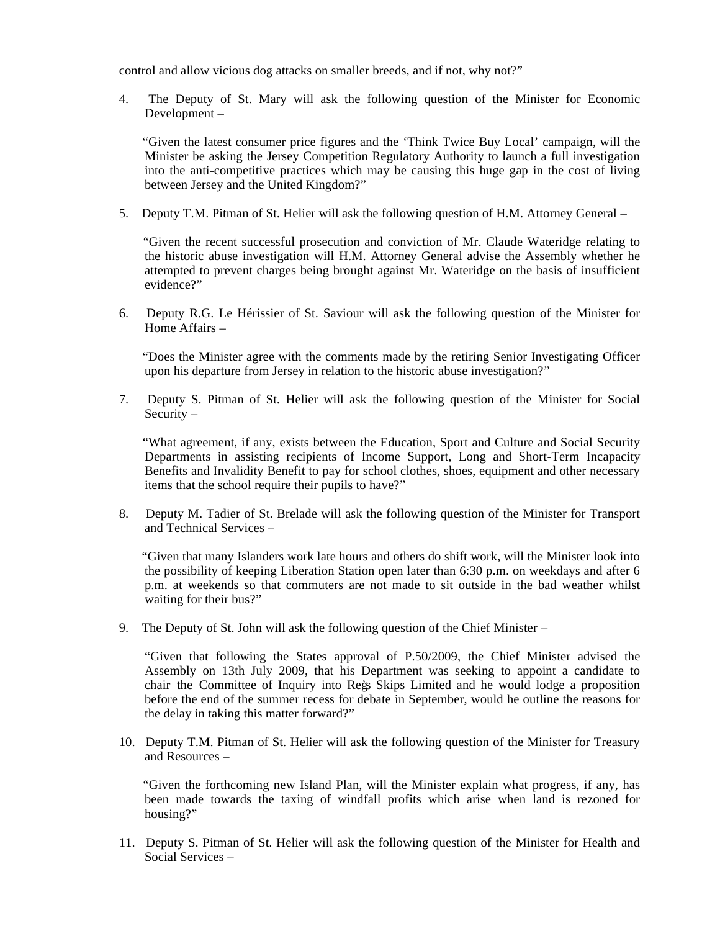control and allow vicious dog attacks on smaller breeds, and if not, why not?"

4. The Deputy of St. Mary will ask the following question of the Minister for Economic Development –

 "Given the latest consumer price figures and the 'Think Twice Buy Local' campaign, will the Minister be asking the Jersey Competition Regulatory Authority to launch a full investigation into the anti-competitive practices which may be causing this huge gap in the cost of living between Jersey and the United Kingdom?"

5. Deputy T.M. Pitman of St. Helier will ask the following question of H.M. Attorney General –

 "Given the recent successful prosecution and conviction of Mr. Claude Wateridge relating to the historic abuse investigation will H.M. Attorney General advise the Assembly whether he attempted to prevent charges being brought against Mr. Wateridge on the basis of insufficient evidence?"

6. Deputy R.G. Le Hérissier of St. Saviour will ask the following question of the Minister for Home Affairs –

 "Does the Minister agree with the comments made by the retiring Senior Investigating Officer upon his departure from Jersey in relation to the historic abuse investigation?"

7. Deputy S. Pitman of St. Helier will ask the following question of the Minister for Social Security –

 "What agreement, if any, exists between the Education, Sport and Culture and Social Security Departments in assisting recipients of Income Support, Long and Short-Term Incapacity Benefits and Invalidity Benefit to pay for school clothes, shoes, equipment and other necessary items that the school require their pupils to have?"

8. Deputy M. Tadier of St. Brelade will ask the following question of the Minister for Transport and Technical Services –

 "Given that many Islanders work late hours and others do shift work, will the Minister look into the possibility of keeping Liberation Station open later than 6:30 p.m. on weekdays and after 6 p.m. at weekends so that commuters are not made to sit outside in the bad weather whilst waiting for their bus?"

9. The Deputy of St. John will ask the following question of the Chief Minister –

"Given that following the States approval of P.50/2009, the Chief Minister advised the Assembly on 13th July 2009, that his Department was seeking to appoint a candidate to chair the Committee of Inquiry into Reg's Skips Limited and he would lodge a proposition before the end of the summer recess for debate in September, would he outline the reasons for the delay in taking this matter forward?"

10. Deputy T.M. Pitman of St. Helier will ask the following question of the Minister for Treasury and Resources –

 "Given the forthcoming new Island Plan, will the Minister explain what progress, if any, has been made towards the taxing of windfall profits which arise when land is rezoned for housing?"

11. Deputy S. Pitman of St. Helier will ask the following question of the Minister for Health and Social Services –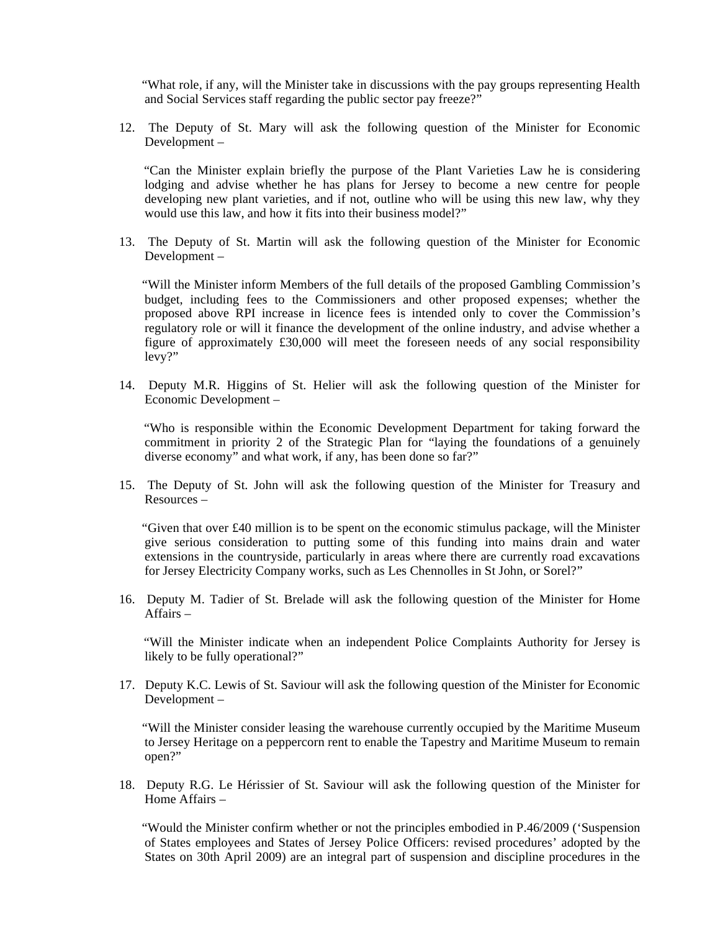"What role, if any, will the Minister take in discussions with the pay groups representing Health and Social Services staff regarding the public sector pay freeze?"

12. The Deputy of St. Mary will ask the following question of the Minister for Economic Development –

 "Can the Minister explain briefly the purpose of the Plant Varieties Law he is considering lodging and advise whether he has plans for Jersey to become a new centre for people developing new plant varieties, and if not, outline who will be using this new law, why they would use this law, and how it fits into their business model?"

13. The Deputy of St. Martin will ask the following question of the Minister for Economic Development –

 "Will the Minister inform Members of the full details of the proposed Gambling Commission's budget, including fees to the Commissioners and other proposed expenses; whether the proposed above RPI increase in licence fees is intended only to cover the Commission's regulatory role or will it finance the development of the online industry, and advise whether a figure of approximately £30,000 will meet the foreseen needs of any social responsibility levy?"

14. Deputy M.R. Higgins of St. Helier will ask the following question of the Minister for Economic Development –

 "Who is responsible within the Economic Development Department for taking forward the commitment in priority 2 of the Strategic Plan for "laying the foundations of a genuinely diverse economy" and what work, if any, has been done so far?"

15. The Deputy of St. John will ask the following question of the Minister for Treasury and Resources –

"Given that over  $\text{\pounds}40$  million is to be spent on the economic stimulus package, will the Minister give serious consideration to putting some of this funding into mains drain and water extensions in the countryside, particularly in areas where there are currently road excavations for Jersey Electricity Company works, such as Les Chennolles in St John, or Sorel?"

16. Deputy M. Tadier of St. Brelade will ask the following question of the Minister for Home Affairs –

 "Will the Minister indicate when an independent Police Complaints Authority for Jersey is likely to be fully operational?"

17. Deputy K.C. Lewis of St. Saviour will ask the following question of the Minister for Economic Development –

 "Will the Minister consider leasing the warehouse currently occupied by the Maritime Museum to Jersey Heritage on a peppercorn rent to enable the Tapestry and Maritime Museum to remain open?"

18. Deputy R.G. Le Hérissier of St. Saviour will ask the following question of the Minister for Home Affairs –

 "Would the Minister confirm whether or not the principles embodied in P.46/2009 ('Suspension of States employees and States of Jersey Police Officers: revised procedures' adopted by the States on 30th April 2009) are an integral part of suspension and discipline procedures in the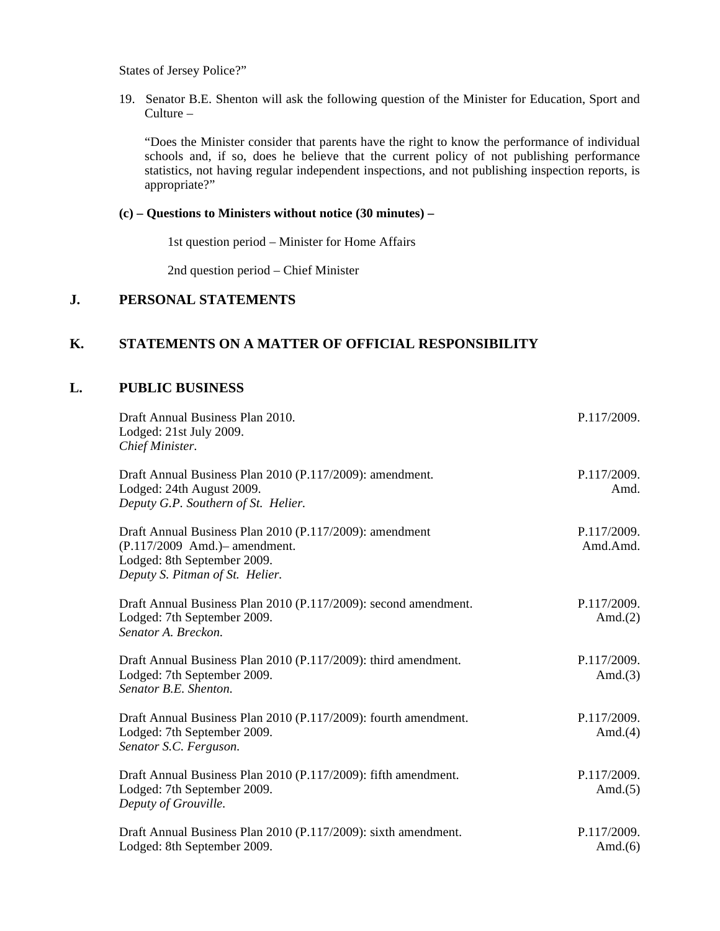States of Jersey Police?"

19. Senator B.E. Shenton will ask the following question of the Minister for Education, Sport and Culture –

"Does the Minister consider that parents have the right to know the performance of individual schools and, if so, does he believe that the current policy of not publishing performance statistics, not having regular independent inspections, and not publishing inspection reports, is appropriate?"

### **(c) – Questions to Ministers without notice (30 minutes) –**

1st question period – Minister for Home Affairs

2nd question period – Chief Minister

## **J. PERSONAL STATEMENTS**

### **K. STATEMENTS ON A MATTER OF OFFICIAL RESPONSIBILITY**

## **L. PUBLIC BUSINESS**

| Draft Annual Business Plan 2010.<br>Lodged: 21st July 2009.<br>Chief Minister.                                                                              | P.117/2009.               |
|-------------------------------------------------------------------------------------------------------------------------------------------------------------|---------------------------|
| Draft Annual Business Plan 2010 (P.117/2009): amendment.<br>Lodged: 24th August 2009.<br>Deputy G.P. Southern of St. Helier.                                | P.117/2009.<br>Amd.       |
| Draft Annual Business Plan 2010 (P.117/2009): amendment<br>(P.117/2009 Amd.) – amendment.<br>Lodged: 8th September 2009.<br>Deputy S. Pitman of St. Helier. | P.117/2009.<br>Amd.Amd.   |
| Draft Annual Business Plan 2010 (P.117/2009): second amendment.<br>Lodged: 7th September 2009.<br>Senator A. Breckon.                                       | P.117/2009.<br>Amd. $(2)$ |
| Draft Annual Business Plan 2010 (P.117/2009): third amendment.<br>Lodged: 7th September 2009.<br>Senator B.E. Shenton.                                      | P.117/2009.<br>Amd. $(3)$ |
| Draft Annual Business Plan 2010 (P.117/2009): fourth amendment.<br>Lodged: 7th September 2009.<br>Senator S.C. Ferguson.                                    | P.117/2009.<br>Amd. $(4)$ |
| Draft Annual Business Plan 2010 (P.117/2009): fifth amendment.<br>Lodged: 7th September 2009.<br>Deputy of Grouville.                                       | P.117/2009.<br>Amd. $(5)$ |
| Draft Annual Business Plan 2010 (P.117/2009): sixth amendment.<br>Lodged: 8th September 2009.                                                               | P.117/2009.<br>Amd. $(6)$ |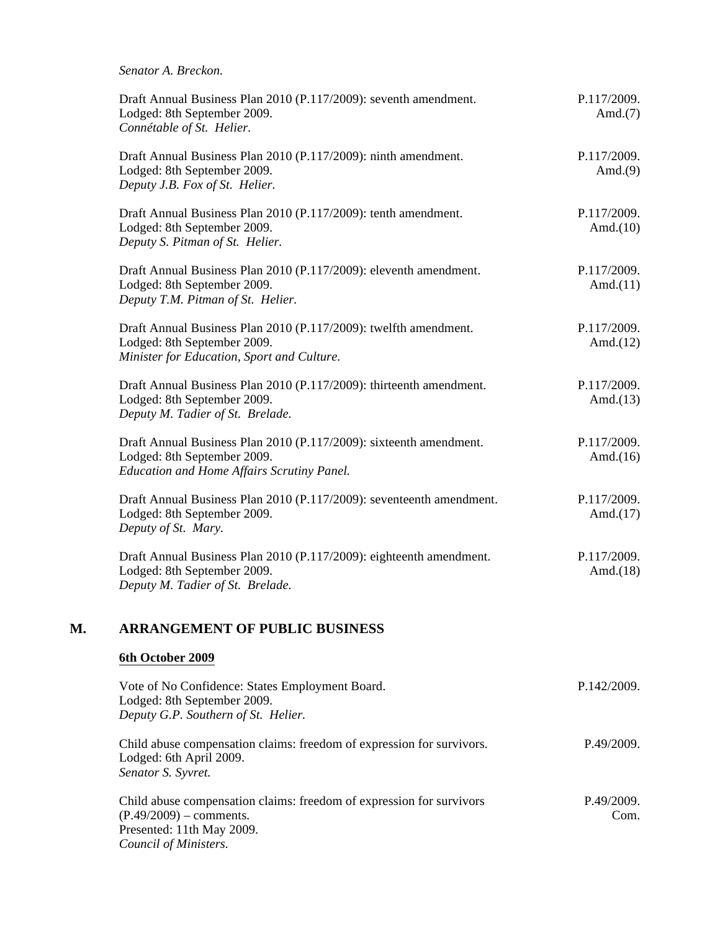| Senator A. Breckon.                                                                                                                             |                            |
|-------------------------------------------------------------------------------------------------------------------------------------------------|----------------------------|
| Draft Annual Business Plan 2010 (P.117/2009): seventh amendment.<br>Lodged: 8th September 2009.<br>Connétable of St. Helier.                    | P.117/2009.<br>Amd. $(7)$  |
| Draft Annual Business Plan 2010 (P.117/2009): ninth amendment.<br>Lodged: 8th September 2009.<br>Deputy J.B. Fox of St. Helier.                 | P.117/2009.<br>Amd. $(9)$  |
| Draft Annual Business Plan 2010 (P.117/2009): tenth amendment.<br>Lodged: 8th September 2009.<br>Deputy S. Pitman of St. Helier.                | P.117/2009.<br>Amd. $(10)$ |
| Draft Annual Business Plan 2010 (P.117/2009): eleventh amendment.<br>Lodged: 8th September 2009.<br>Deputy T.M. Pitman of St. Helier.           | P.117/2009.<br>Amd. $(11)$ |
| Draft Annual Business Plan 2010 (P.117/2009): twelfth amendment.<br>Lodged: 8th September 2009.<br>Minister for Education, Sport and Culture.   | P.117/2009.<br>Amd. $(12)$ |
| Draft Annual Business Plan 2010 (P.117/2009): thirteenth amendment.<br>Lodged: 8th September 2009.<br>Deputy M. Tadier of St. Brelade.          | P.117/2009.<br>Amd. $(13)$ |
| Draft Annual Business Plan 2010 (P.117/2009): sixteenth amendment.<br>Lodged: 8th September 2009.<br>Education and Home Affairs Scrutiny Panel. | P.117/2009.<br>Amd. $(16)$ |
| Draft Annual Business Plan 2010 (P.117/2009): seventeenth amendment.<br>Lodged: 8th September 2009.<br>Deputy of St. Mary.                      | P.117/2009.<br>Amd. $(17)$ |
| Draft Annual Business Plan 2010 (P.117/2009): eighteenth amendment.<br>Lodged: 8th September 2009.<br>Deputy M. Tadier of St. Brelade.          | P.117/2009.<br>Amd. $(18)$ |

# **M. ARRANGEMENT OF PUBLIC BUSINESS**

## **6th October 2009**

| Vote of No Confidence: States Employment Board.<br>Lodged: 8th September 2009.                                                                          | P.142/2009.        |
|---------------------------------------------------------------------------------------------------------------------------------------------------------|--------------------|
| Deputy G.P. Southern of St. Helier.                                                                                                                     |                    |
| Child abuse compensation claims: freedom of expression for survivors.<br>Lodged: 6th April 2009.<br>Senator S. Syvret.                                  | P.49/2009.         |
| Child abuse compensation claims: freedom of expression for survivors<br>$(P.49/2009)$ – comments.<br>Presented: 11th May 2009.<br>Council of Ministers. | P.49/2009.<br>Com. |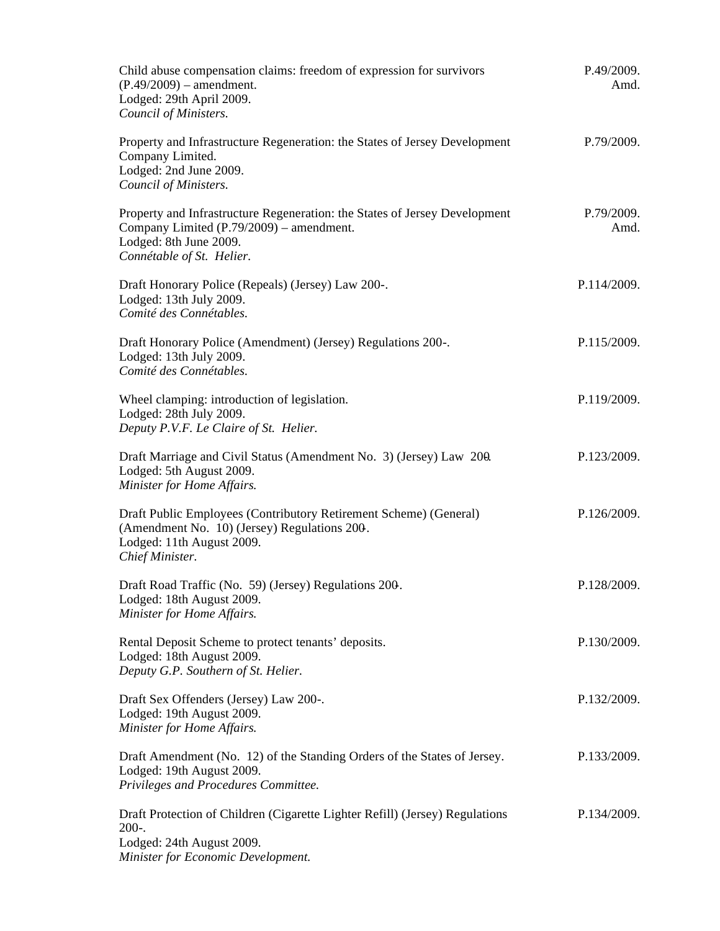| Child abuse compensation claims: freedom of expression for survivors<br>$(P.49/2009)$ – amendment.<br>Lodged: 29th April 2009.<br>Council of Ministers.                       | P.49/2009.<br>Amd. |
|-------------------------------------------------------------------------------------------------------------------------------------------------------------------------------|--------------------|
| Property and Infrastructure Regeneration: the States of Jersey Development<br>Company Limited.<br>Lodged: 2nd June 2009.<br>Council of Ministers.                             | P.79/2009.         |
| Property and Infrastructure Regeneration: the States of Jersey Development<br>Company Limited (P.79/2009) – amendment.<br>Lodged: 8th June 2009.<br>Connétable of St. Helier. | P.79/2009.<br>Amd. |
| Draft Honorary Police (Repeals) (Jersey) Law 200-.<br>Lodged: 13th July 2009.<br>Comité des Connétables.                                                                      | P.114/2009.        |
| Draft Honorary Police (Amendment) (Jersey) Regulations 200-.<br>Lodged: 13th July 2009.<br>Comité des Connétables.                                                            | P.115/2009.        |
| Wheel clamping: introduction of legislation.<br>Lodged: 28th July 2009.<br>Deputy P.V.F. Le Claire of St. Helier.                                                             | P.119/2009.        |
| Draft Marriage and Civil Status (Amendment No. 3) (Jersey) Law 200.<br>Lodged: 5th August 2009.<br>Minister for Home Affairs.                                                 | P.123/2009.        |
| Draft Public Employees (Contributory Retirement Scheme) (General)<br>(Amendment No. 10) (Jersey) Regulations 200.<br>Lodged: 11th August 2009.<br>Chief Minister.             | P.126/2009.        |
| Draft Road Traffic (No. 59) (Jersey) Regulations 200.<br>Lodged: 18th August 2009.<br>Minister for Home Affairs.                                                              | P.128/2009.        |
| Rental Deposit Scheme to protect tenants' deposits.<br>Lodged: 18th August 2009.<br>Deputy G.P. Southern of St. Helier.                                                       | P.130/2009.        |
| Draft Sex Offenders (Jersey) Law 200-.<br>Lodged: 19th August 2009.<br>Minister for Home Affairs.                                                                             | P.132/2009.        |
| Draft Amendment (No. 12) of the Standing Orders of the States of Jersey.<br>Lodged: 19th August 2009.<br>Privileges and Procedures Committee.                                 | P.133/2009.        |
| Draft Protection of Children (Cigarette Lighter Refill) (Jersey) Regulations<br>$200-.$<br>Lodged: 24th August 2009.                                                          | P.134/2009.        |
| Minister for Economic Development.                                                                                                                                            |                    |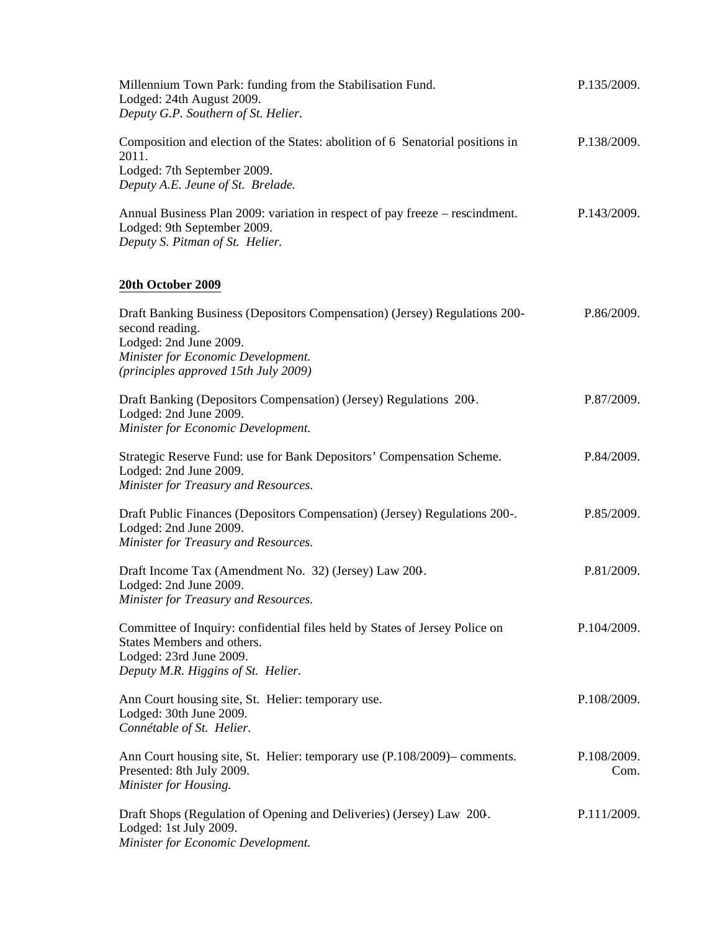| Millennium Town Park: funding from the Stabilisation Fund.<br>Lodged: 24th August 2009.<br>Deputy G.P. Southern of St. Helier.                                                                        | P.135/2009.         |
|-------------------------------------------------------------------------------------------------------------------------------------------------------------------------------------------------------|---------------------|
| Composition and election of the States: abolition of 6 Senatorial positions in<br>2011.<br>Lodged: 7th September 2009.<br>Deputy A.E. Jeune of St. Brelade.                                           | P.138/2009.         |
| Annual Business Plan 2009: variation in respect of pay freeze – rescindment.<br>Lodged: 9th September 2009.<br>Deputy S. Pitman of St. Helier.                                                        | P.143/2009.         |
| 20th October 2009                                                                                                                                                                                     |                     |
| Draft Banking Business (Depositors Compensation) (Jersey) Regulations 200-<br>second reading.<br>Lodged: 2nd June 2009.<br>Minister for Economic Development.<br>(principles approved 15th July 2009) | P.86/2009.          |
| Draft Banking (Depositors Compensation) (Jersey) Regulations 200.<br>Lodged: 2nd June 2009.<br>Minister for Economic Development.                                                                     | P.87/2009.          |
| Strategic Reserve Fund: use for Bank Depositors' Compensation Scheme.<br>Lodged: 2nd June 2009.<br>Minister for Treasury and Resources.                                                               | P.84/2009.          |
| Draft Public Finances (Depositors Compensation) (Jersey) Regulations 200-.<br>Lodged: 2nd June 2009.<br>Minister for Treasury and Resources.                                                          | P.85/2009.          |
| Draft Income Tax (Amendment No. 32) (Jersey) Law 200.<br>Lodged: 2nd June 2009.<br>Minister for Treasury and Resources.                                                                               | P.81/2009.          |
| Committee of Inquiry: confidential files held by States of Jersey Police on<br>States Members and others.<br>Lodged: 23rd June 2009.<br>Deputy M.R. Higgins of St. Helier.                            | P.104/2009.         |
| Ann Court housing site, St. Helier: temporary use.<br>Lodged: 30th June 2009.<br>Connétable of St. Helier.                                                                                            | P.108/2009.         |
| Ann Court housing site, St. Helier: temporary use (P.108/2009)– comments.<br>Presented: 8th July 2009.<br>Minister for Housing.                                                                       | P.108/2009.<br>Com. |
| Draft Shops (Regulation of Opening and Deliveries) (Jersey) Law 200.<br>Lodged: 1st July 2009.<br>Minister for Economic Development.                                                                  | P.111/2009.         |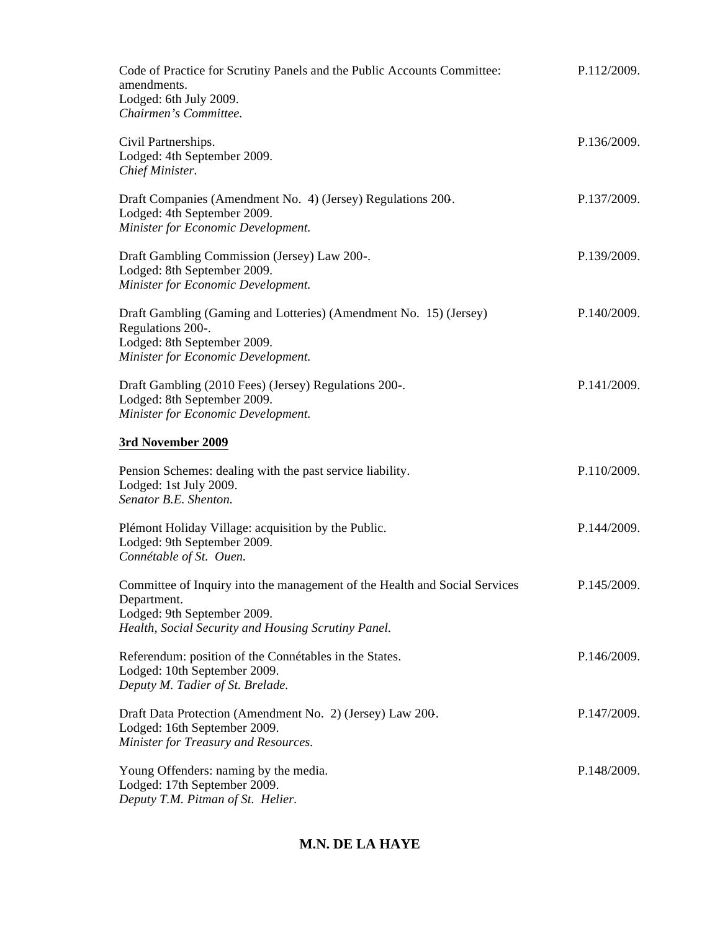| Code of Practice for Scrutiny Panels and the Public Accounts Committee:<br>amendments.<br>Lodged: 6th July 2009.<br>Chairmen's Committee.                                       | P.112/2009. |
|---------------------------------------------------------------------------------------------------------------------------------------------------------------------------------|-------------|
| Civil Partnerships.<br>Lodged: 4th September 2009.<br>Chief Minister.                                                                                                           | P.136/2009. |
| Draft Companies (Amendment No. 4) (Jersey) Regulations 200.<br>Lodged: 4th September 2009.<br>Minister for Economic Development.                                                | P.137/2009. |
| Draft Gambling Commission (Jersey) Law 200-.<br>Lodged: 8th September 2009.<br>Minister for Economic Development.                                                               | P.139/2009. |
| Draft Gambling (Gaming and Lotteries) (Amendment No. 15) (Jersey)<br>Regulations 200-.<br>Lodged: 8th September 2009.<br>Minister for Economic Development.                     | P.140/2009. |
| Draft Gambling (2010 Fees) (Jersey) Regulations 200-.<br>Lodged: 8th September 2009.<br>Minister for Economic Development.                                                      | P.141/2009. |
| 3rd November 2009                                                                                                                                                               |             |
| Pension Schemes: dealing with the past service liability.<br>Lodged: 1st July 2009.<br>Senator B.E. Shenton.                                                                    | P.110/2009. |
| Plémont Holiday Village: acquisition by the Public.<br>Lodged: 9th September 2009.<br>Connétable of St. Ouen.                                                                   | P.144/2009. |
| Committee of Inquiry into the management of the Health and Social Services<br>Department.<br>Lodged: 9th September 2009.<br>Health, Social Security and Housing Scrutiny Panel. | P.145/2009. |
| Referendum: position of the Connétables in the States.<br>Lodged: 10th September 2009.<br>Deputy M. Tadier of St. Brelade.                                                      | P.146/2009. |
| Draft Data Protection (Amendment No. 2) (Jersey) Law 200.<br>Lodged: 16th September 2009.<br>Minister for Treasury and Resources.                                               | P.147/2009. |
| Young Offenders: naming by the media.<br>Lodged: 17th September 2009.<br>Deputy T.M. Pitman of St. Helier.                                                                      | P.148/2009. |

# **M.N. DE LA HAYE**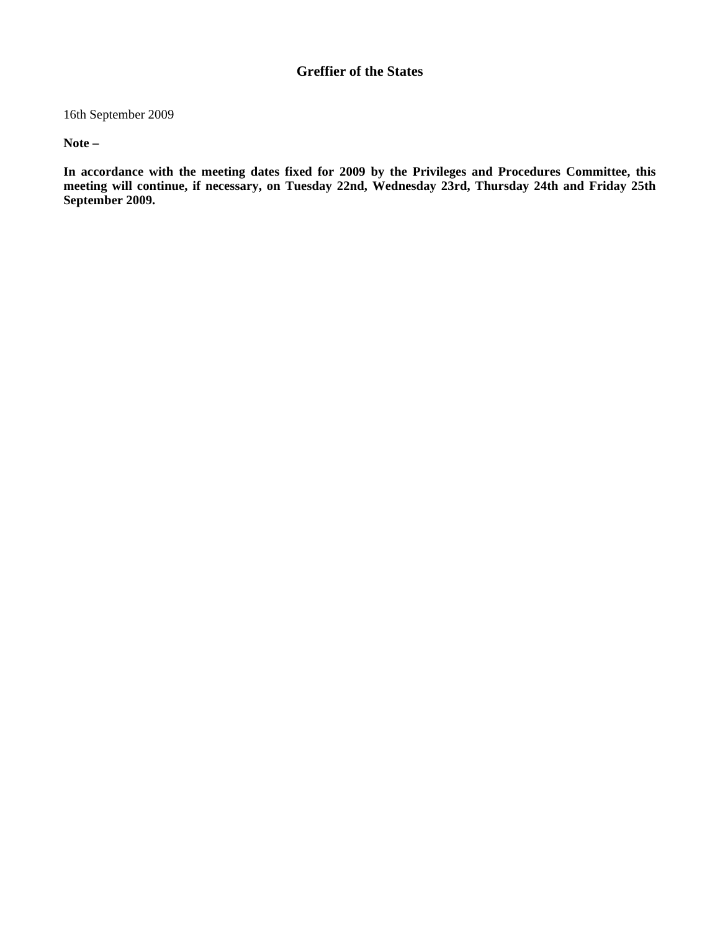## **Greffier of the States**

16th September 2009

**Note –**

**In accordance with the meeting dates fixed for 2009 by the Privileges and Procedures Committee, this meeting will continue, if necessary, on Tuesday 22nd, Wednesday 23rd, Thursday 24th and Friday 25th September 2009.**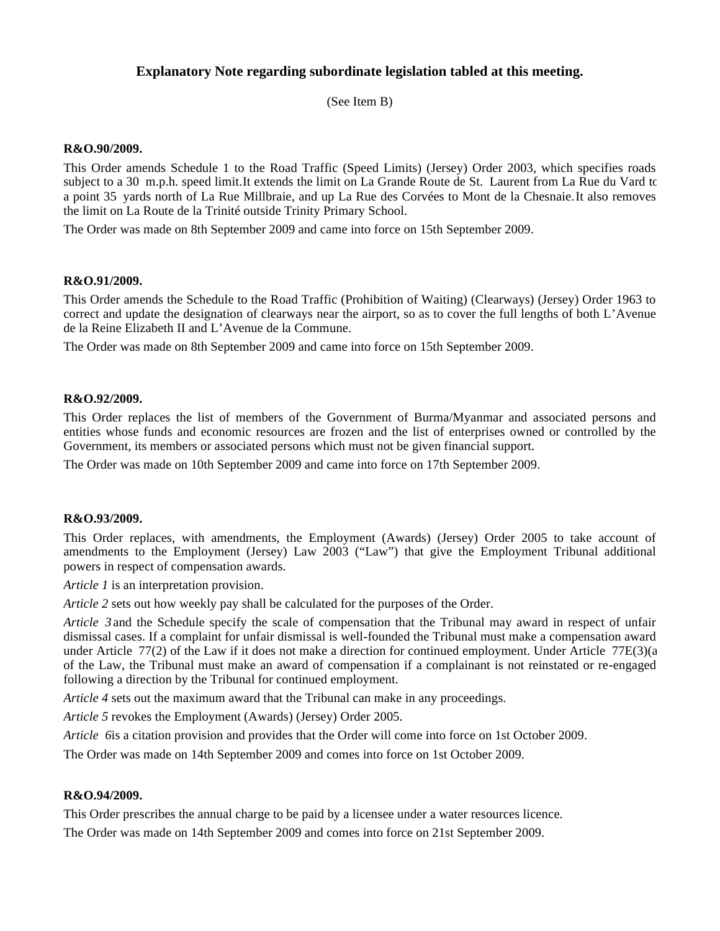### **Explanatory Note regarding subordinate legislation tabled at this meeting.**

(See Item B)

#### **R&O.90/2009.**

This Order amends Schedule 1 to the Road Traffic (Speed Limits) (Jersey) Order 2003, which specifies roads subject to a 30 m.p.h. speed limit.It extends the limit on La Grande Route de St. Laurent from La Rue du Vard to a point 35 yards north of La Rue Millbraie, and up La Rue des Corvées to Mont de la Chesnaie.It also removes the limit on La Route de la Trinité outside Trinity Primary School.

The Order was made on 8th September 2009 and came into force on 15th September 2009.

#### **R&O.91/2009.**

This Order amends the Schedule to the Road Traffic (Prohibition of Waiting) (Clearways) (Jersey) Order 1963 to correct and update the designation of clearways near the airport, so as to cover the full lengths of both L'Avenue de la Reine Elizabeth II and L'Avenue de la Commune.

The Order was made on 8th September 2009 and came into force on 15th September 2009.

#### **R&O.92/2009.**

This Order replaces the list of members of the Government of Burma/Myanmar and associated persons and entities whose funds and economic resources are frozen and the list of enterprises owned or controlled by the Government, its members or associated persons which must not be given financial support.

The Order was made on 10th September 2009 and came into force on 17th September 2009.

#### **R&O.93/2009.**

This Order replaces, with amendments, the Employment (Awards) (Jersey) Order 2005 to take account of amendments to the Employment (Jersey) Law 2003 ("Law") that give the Employment Tribunal additional powers in respect of compensation awards.

*Article 1* is an interpretation provision.

*Article 2* sets out how weekly pay shall be calculated for the purposes of the Order.

*Article 3* and the Schedule specify the scale of compensation that the Tribunal may award in respect of unfair dismissal cases. If a complaint for unfair dismissal is well-founded the Tribunal must make a compensation award under Article 77(2) of the Law if it does not make a direction for continued employment. Under Article 77E(3)(a) of the Law, the Tribunal must make an award of compensation if a complainant is not reinstated or re-engaged following a direction by the Tribunal for continued employment.

*Article 4* sets out the maximum award that the Tribunal can make in any proceedings.

*Article 5* revokes the Employment (Awards) (Jersey) Order 2005.

*Article 6* is a citation provision and provides that the Order will come into force on 1st October 2009.

The Order was made on 14th September 2009 and comes into force on 1st October 2009.

#### **R&O.94/2009.**

This Order prescribes the annual charge to be paid by a licensee under a water resources licence.

The Order was made on 14th September 2009 and comes into force on 21st September 2009.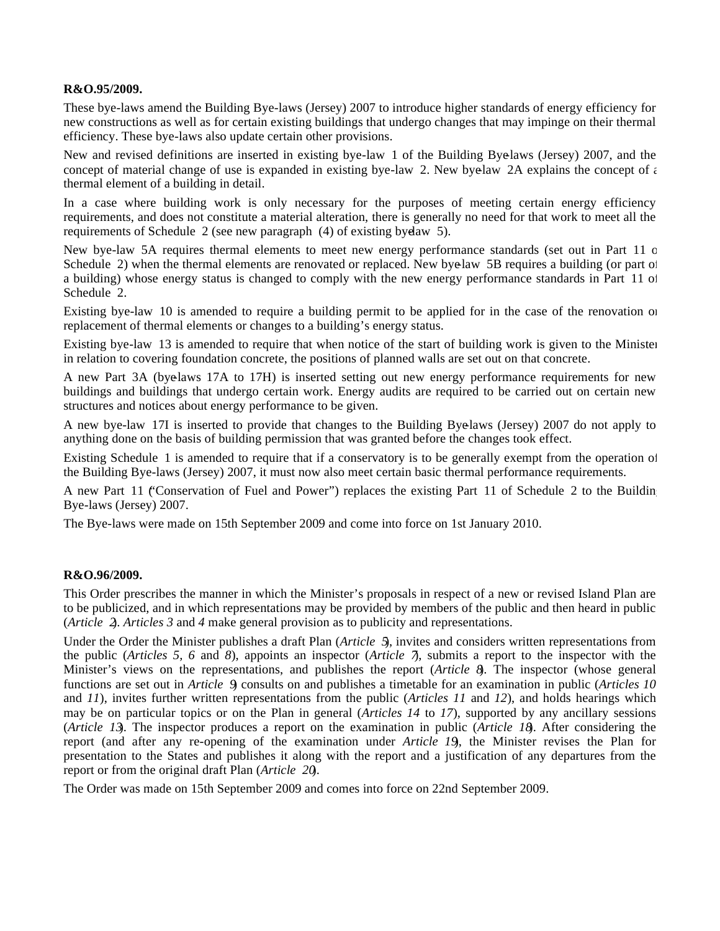#### **R&O.95/2009.**

These bye-laws amend the Building Bye-laws (Jersey) 2007 to introduce higher standards of energy efficiency for new constructions as well as for certain existing buildings that undergo changes that may impinge on their thermal efficiency. These bye-laws also update certain other provisions.

New and revised definitions are inserted in existing bye-law 1 of the Building Byelaws (Jersey) 2007, and the concept of material change of use is expanded in existing bye-law 2. New bye-law 2A explains the concept of  $\epsilon$ thermal element of a building in detail.

In a case where building work is only necessary for the purposes of meeting certain energy efficiency requirements, and does not constitute a material alteration, there is generally no need for that work to meet all the requirements of Schedule 2 (see new paragraph  $(4)$  of existing byelaw 5).

New bye-law 5A requires thermal elements to meet new energy performance standards (set out in Part 11 of Schedule 2) when the thermal elements are renovated or replaced. New byelaw 5B requires a building (or part of a building) whose energy status is changed to comply with the new energy performance standards in Part 11 of Schedule 2.

Existing bye-law 10 is amended to require a building permit to be applied for in the case of the renovation or replacement of thermal elements or changes to a building's energy status.

Existing bye-law 13 is amended to require that when notice of the start of building work is given to the Minister in relation to covering foundation concrete, the positions of planned walls are set out on that concrete.

A new Part 3A (bye-laws 17A to 17H) is inserted setting out new energy performance requirements for new buildings and buildings that undergo certain work. Energy audits are required to be carried out on certain new structures and notices about energy performance to be given.

A new bye-law 17I is inserted to provide that changes to the Building Bye-laws (Jersey) 2007 do not apply to anything done on the basis of building permission that was granted before the changes took effect.

Existing Schedule 1 is amended to require that if a conservatory is to be generally exempt from the operation of the Building Bye-laws (Jersey) 2007, it must now also meet certain basic thermal performance requirements.

A new Part 11 ("Conservation of Fuel and Power") replaces the existing Part 11 of Schedule 2 to the Building Bye-laws (Jersey) 2007.

The Bye-laws were made on 15th September 2009 and come into force on 1st January 2010.

### **R&O.96/2009.**

This Order prescribes the manner in which the Minister's proposals in respect of a new or revised Island Plan are to be publicized, and in which representations may be provided by members of the public and then heard in public (*Article 2*). *Articles 3* and *4* make general provision as to publicity and representations.

Under the Order the Minister publishes a draft Plan (*Article 5*), invites and considers written representations from the public (*Articles 5, 6* and *8*), appoints an inspector (*Article 7*), submits a report to the inspector with the Minister's views on the representations, and publishes the report (*Article 8*). The inspector (whose general functions are set out in *Article 9*) consults on and publishes a timetable for an examination in public (*Articles 10* and *11*), invites further written representations from the public (*Articles 11* and *12*), and holds hearings which may be on particular topics or on the Plan in general (*Articles 14* to *17*), supported by any ancillary sessions (*Article 13*). The inspector produces a report on the examination in public (*Article 18*). After considering the report (and after any re-opening of the examination under *Article 19*), the Minister revises the Plan for presentation to the States and publishes it along with the report and a justification of any departures from the report or from the original draft Plan (*Article 20*).

The Order was made on 15th September 2009 and comes into force on 22nd September 2009.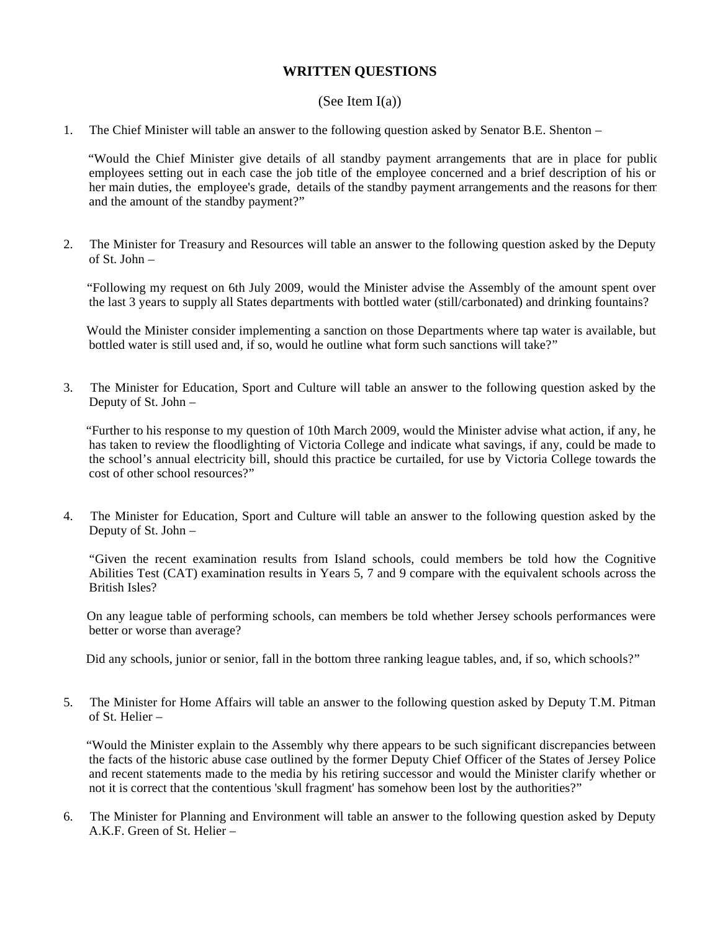### **WRITTEN QUESTIONS**

### (See Item  $I(a)$ )

1. The Chief Minister will table an answer to the following question asked by Senator B.E. Shenton –

 "Would the Chief Minister give details of all standby payment arrangements that are in place for public employees setting out in each case the job title of the employee concerned and a brief description of his or her main duties, the employee's grade, details of the standby payment arrangements and the reasons for them and the amount of the standby payment?"

2. The Minister for Treasury and Resources will table an answer to the following question asked by the Deputy of St. John –

 "Following my request on 6th July 2009, would the Minister advise the Assembly of the amount spent over the last 3 years to supply all States departments with bottled water (still/carbonated) and drinking fountains?

 Would the Minister consider implementing a sanction on those Departments where tap water is available, but bottled water is still used and, if so, would he outline what form such sanctions will take?"

3. The Minister for Education, Sport and Culture will table an answer to the following question asked by the Deputy of St. John –

 "Further to his response to my question of 10th March 2009, would the Minister advise what action, if any, he has taken to review the floodlighting of Victoria College and indicate what savings, if any, could be made to the school's annual electricity bill, should this practice be curtailed, for use by Victoria College towards the cost of other school resources?"

4. The Minister for Education, Sport and Culture will table an answer to the following question asked by the Deputy of St. John –

 "Given the recent examination results from Island schools, could members be told how the Cognitive Abilities Test (CAT) examination results in Years 5, 7 and 9 compare with the equivalent schools across the British Isles?

 On any league table of performing schools, can members be told whether Jersey schools performances were better or worse than average?

Did any schools, junior or senior, fall in the bottom three ranking league tables, and, if so, which schools?"

5. The Minister for Home Affairs will table an answer to the following question asked by Deputy T.M. Pitman of St. Helier –

 "Would the Minister explain to the Assembly why there appears to be such significant discrepancies between the facts of the historic abuse case outlined by the former Deputy Chief Officer of the States of Jersey Police and recent statements made to the media by his retiring successor and would the Minister clarify whether or not it is correct that the contentious 'skull fragment' has somehow been lost by the authorities?"

6. The Minister for Planning and Environment will table an answer to the following question asked by Deputy A.K.F. Green of St. Helier –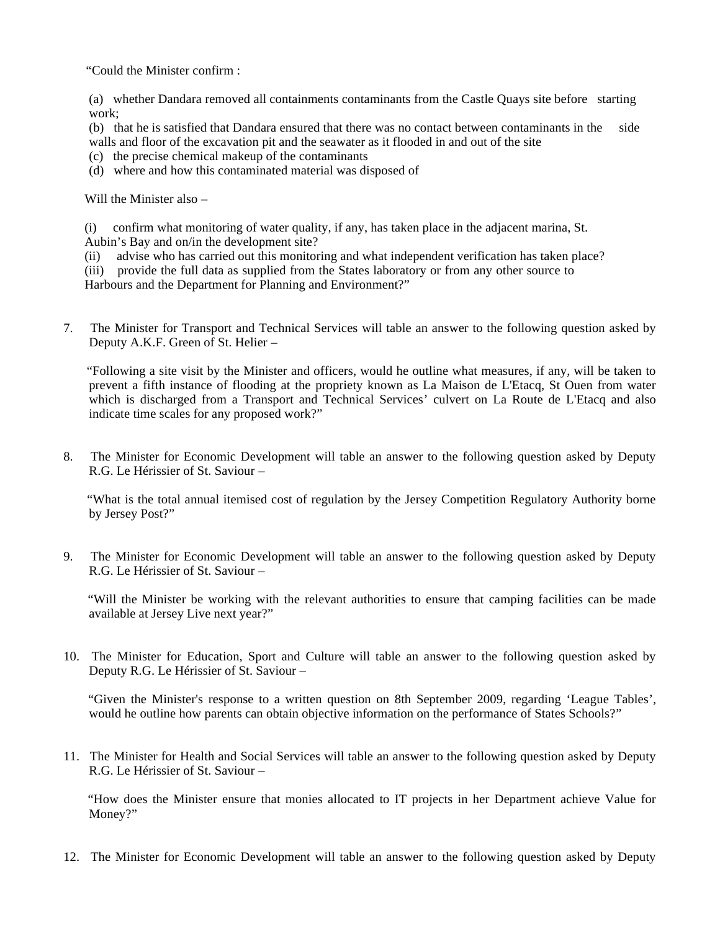"Could the Minister confirm :

(a) whether Dandara removed all containments contaminants from the Castle Quays site before starting work;

(b) that he is satisfied that Dandara ensured that there was no contact between contaminants in the side walls and floor of the excavation pit and the seawater as it flooded in and out of the site

- (c) the precise chemical makeup of the contaminants
- (d) where and how this contaminated material was disposed of

Will the Minister also –

(i) confirm what monitoring of water quality, if any, has taken place in the adjacent marina, St. Aubin's Bay and on/in the development site?

(ii) advise who has carried out this monitoring and what independent verification has taken place?

(iii) provide the full data as supplied from the States laboratory or from any other source to

Harbours and the Department for Planning and Environment?"

7. The Minister for Transport and Technical Services will table an answer to the following question asked by Deputy A.K.F. Green of St. Helier –

 "Following a site visit by the Minister and officers, would he outline what measures, if any, will be taken to prevent a fifth instance of flooding at the propriety known as La Maison de L'Etacq, St Ouen from water which is discharged from a Transport and Technical Services' culvert on La Route de L'Etacq and also indicate time scales for any proposed work?"

8. The Minister for Economic Development will table an answer to the following question asked by Deputy R.G. Le Hérissier of St. Saviour –

 "What is the total annual itemised cost of regulation by the Jersey Competition Regulatory Authority borne by Jersey Post?"

9. The Minister for Economic Development will table an answer to the following question asked by Deputy R.G. Le Hérissier of St. Saviour –

 "Will the Minister be working with the relevant authorities to ensure that camping facilities can be made available at Jersey Live next year?"

10. The Minister for Education, Sport and Culture will table an answer to the following question asked by Deputy R.G. Le Hérissier of St. Saviour –

 "Given the Minister's response to a written question on 8th September 2009, regarding 'League Tables', would he outline how parents can obtain objective information on the performance of States Schools?"

11. The Minister for Health and Social Services will table an answer to the following question asked by Deputy R.G. Le Hérissier of St. Saviour –

 "How does the Minister ensure that monies allocated to IT projects in her Department achieve Value for Money?"

12. The Minister for Economic Development will table an answer to the following question asked by Deputy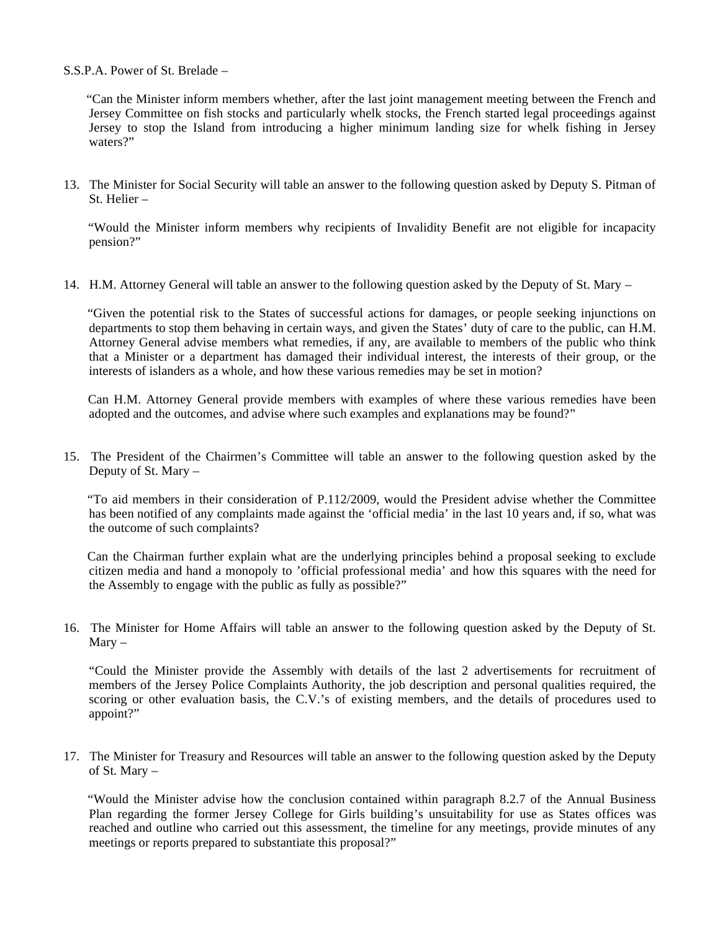S.S.P.A. Power of St. Brelade –

 "Can the Minister inform members whether, after the last joint management meeting between the French and Jersey Committee on fish stocks and particularly whelk stocks, the French started legal proceedings against Jersey to stop the Island from introducing a higher minimum landing size for whelk fishing in Jersey waters?"

13. The Minister for Social Security will table an answer to the following question asked by Deputy S. Pitman of St. Helier –

 "Would the Minister inform members why recipients of Invalidity Benefit are not eligible for incapacity pension?"

14. H.M. Attorney General will table an answer to the following question asked by the Deputy of St. Mary –

 "Given the potential risk to the States of successful actions for damages, or people seeking injunctions on departments to stop them behaving in certain ways, and given the States' duty of care to the public, can H.M. Attorney General advise members what remedies, if any, are available to members of the public who think that a Minister or a department has damaged their individual interest, the interests of their group, or the interests of islanders as a whole, and how these various remedies may be set in motion?

 Can H.M. Attorney General provide members with examples of where these various remedies have been adopted and the outcomes, and advise where such examples and explanations may be found?"

15. The President of the Chairmen's Committee will table an answer to the following question asked by the Deputy of St. Mary –

 "To aid members in their consideration of P.112/2009, would the President advise whether the Committee has been notified of any complaints made against the 'official media' in the last 10 years and, if so, what was the outcome of such complaints?

 Can the Chairman further explain what are the underlying principles behind a proposal seeking to exclude citizen media and hand a monopoly to 'official professional media' and how this squares with the need for the Assembly to engage with the public as fully as possible?"

16. The Minister for Home Affairs will table an answer to the following question asked by the Deputy of St. Mary –

 "Could the Minister provide the Assembly with details of the last 2 advertisements for recruitment of members of the Jersey Police Complaints Authority, the job description and personal qualities required, the scoring or other evaluation basis, the C.V.'s of existing members, and the details of procedures used to appoint?"

17. The Minister for Treasury and Resources will table an answer to the following question asked by the Deputy of St. Mary –

 "Would the Minister advise how the conclusion contained within paragraph 8.2.7 of the Annual Business Plan regarding the former Jersey College for Girls building's unsuitability for use as States offices was reached and outline who carried out this assessment, the timeline for any meetings, provide minutes of any meetings or reports prepared to substantiate this proposal?"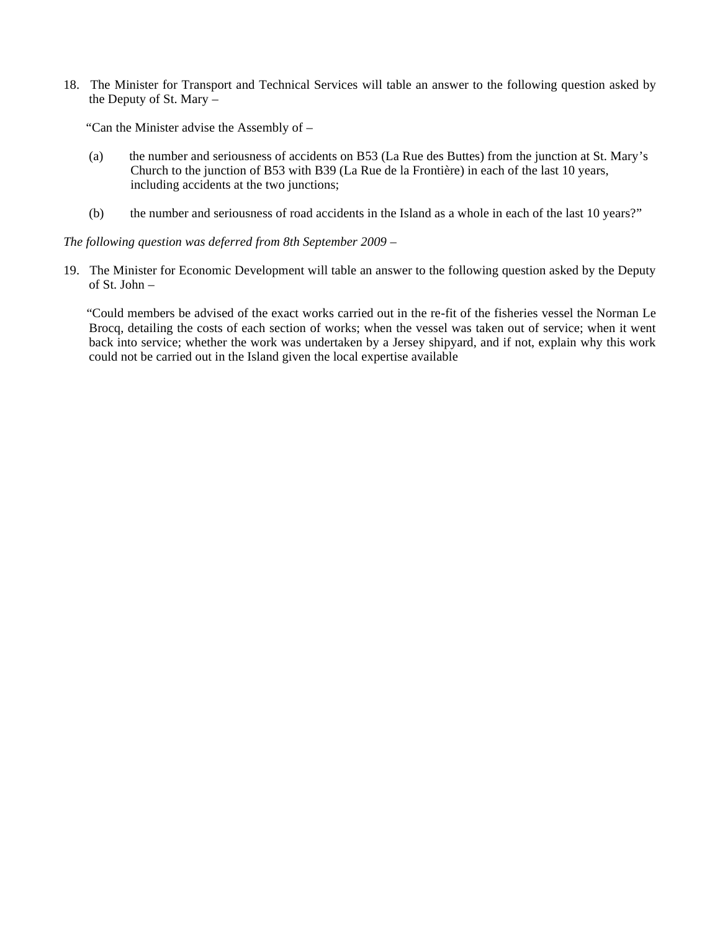18. The Minister for Transport and Technical Services will table an answer to the following question asked by the Deputy of St. Mary –

"Can the Minister advise the Assembly of –

- (a) the number and seriousness of accidents on B53 (La Rue des Buttes) from the junction at St. Mary's Church to the junction of B53 with B39 (La Rue de la Frontière) in each of the last 10 years, including accidents at the two junctions;
- (b) the number and seriousness of road accidents in the Island as a whole in each of the last 10 years?"

*The following question was deferred from 8th September 2009 –*

19. The Minister for Economic Development will table an answer to the following question asked by the Deputy of St. John –

 "Could members be advised of the exact works carried out in the re-fit of the fisheries vessel the Norman Le Brocq, detailing the costs of each section of works; when the vessel was taken out of service; when it went back into service; whether the work was undertaken by a Jersey shipyard, and if not, explain why this work could not be carried out in the Island given the local expertise available